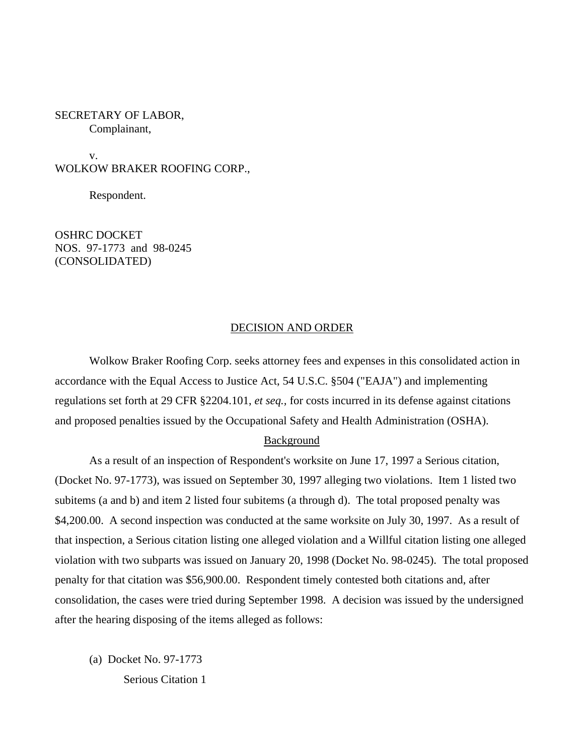## SECRETARY OF LABOR, Complainant,

v. WOLKOW BRAKER ROOFING CORP.,

Respondent.

OSHRC DOCKET NOS. 97-1773 and 98-0245 (CONSOLIDATED)

## DECISION AND ORDER

Wolkow Braker Roofing Corp. seeks attorney fees and expenses in this consolidated action in accordance with the Equal Access to Justice Act, 54 U.S.C. §504 ("EAJA") and implementing regulations set forth at 29 CFR §2204.101, *et seq.,* for costs incurred in its defense against citations and proposed penalties issued by the Occupational Safety and Health Administration (OSHA).

## Background

As a result of an inspection of Respondent's worksite on June 17, 1997 a Serious citation, (Docket No. 97-1773), was issued on September 30, 1997 alleging two violations. Item 1 listed two subitems (a and b) and item 2 listed four subitems (a through d). The total proposed penalty was \$4,200.00. A second inspection was conducted at the same worksite on July 30, 1997. As a result of that inspection, a Serious citation listing one alleged violation and a Willful citation listing one alleged violation with two subparts was issued on January 20, 1998 (Docket No. 98-0245). The total proposed penalty for that citation was \$56,900.00. Respondent timely contested both citations and, after consolidation, the cases were tried during September 1998. A decision was issued by the undersigned after the hearing disposing of the items alleged as follows:

(a) Docket No. 97-1773 Serious Citation 1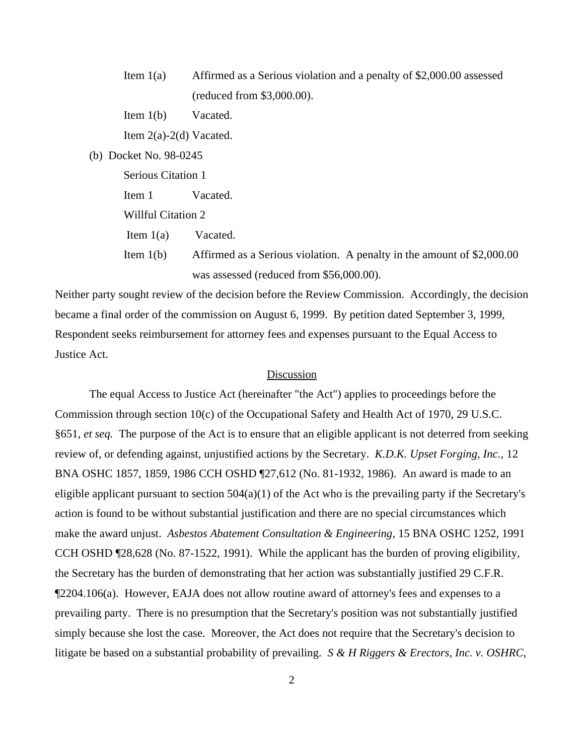- Item 1(a) Affirmed as a Serious violation and a penalty of \$2,000.00 assessed (reduced from \$3,000.00).
- Item 1(b) Vacated.

Item 2(a)-2(d) Vacated.

(b) Docket No. 98-0245

Serious Citation 1

Item 1 Vacated.

Willful Citation 2

Item 1(a) Vacated.

Item 1(b) Affirmed as a Serious violation. A penalty in the amount of \$2,000.00 was assessed (reduced from \$56,000.00).

Neither party sought review of the decision before the Review Commission. Accordingly, the decision became a final order of the commission on August 6, 1999. By petition dated September 3, 1999, Respondent seeks reimbursement for attorney fees and expenses pursuant to the Equal Access to Justice Act.

# Discussion

The equal Access to Justice Act (hereinafter "the Act") applies to proceedings before the Commission through section 10(c) of the Occupational Safety and Health Act of 1970, 29 U.S.C. §651, *et seq.* The purpose of the Act is to ensure that an eligible applicant is not deterred from seeking review of, or defending against, unjustified actions by the Secretary. *K.D.K. Upset Forging, Inc.,* 12 BNA OSHC 1857, 1859, 1986 CCH OSHD ¶27,612 (No. 81-1932, 1986). An award is made to an eligible applicant pursuant to section  $504(a)(1)$  of the Act who is the prevailing party if the Secretary's action is found to be without substantial justification and there are no special circumstances which make the award unjust. *Asbestos Abatement Consultation & Engineering*, 15 BNA OSHC 1252, 1991 CCH OSHD ¶28,628 (No. 87-1522, 1991). While the applicant has the burden of proving eligibility, the Secretary has the burden of demonstrating that her action was substantially justified 29 C.F.R. ¶2204.106(a). However, EAJA does not allow routine award of attorney's fees and expenses to a prevailing party. There is no presumption that the Secretary's position was not substantially justified simply because she lost the case. Moreover, the Act does not require that the Secretary's decision to litigate be based on a substantial probability of prevailing. *S & H Riggers & Erectors, Inc. v. OSHRC*,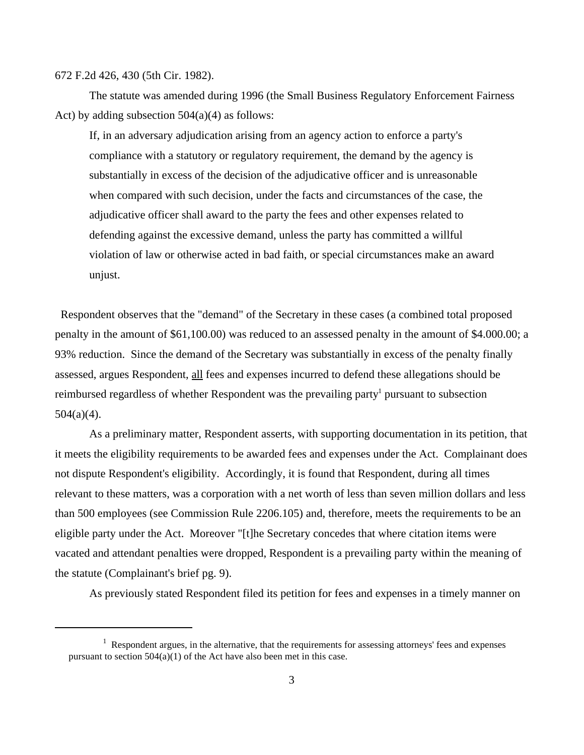#### 672 F.2d 426, 430 (5th Cir. 1982).

The statute was amended during 1996 (the Small Business Regulatory Enforcement Fairness Act) by adding subsection  $504(a)(4)$  as follows:

If, in an adversary adjudication arising from an agency action to enforce a party's compliance with a statutory or regulatory requirement, the demand by the agency is substantially in excess of the decision of the adjudicative officer and is unreasonable when compared with such decision, under the facts and circumstances of the case, the adjudicative officer shall award to the party the fees and other expenses related to defending against the excessive demand, unless the party has committed a willful violation of law or otherwise acted in bad faith, or special circumstances make an award unjust.

 Respondent observes that the "demand" of the Secretary in these cases (a combined total proposed penalty in the amount of \$61,100.00) was reduced to an assessed penalty in the amount of \$4.000.00; a 93% reduction. Since the demand of the Secretary was substantially in excess of the penalty finally assessed, argues Respondent, all fees and expenses incurred to defend these allegations should be reimbursed regardless of whether Respondent was the prevailing party<sup>1</sup> pursuant to subsection  $504(a)(4)$ .

As a preliminary matter, Respondent asserts, with supporting documentation in its petition, that it meets the eligibility requirements to be awarded fees and expenses under the Act. Complainant does not dispute Respondent's eligibility. Accordingly, it is found that Respondent, during all times relevant to these matters, was a corporation with a net worth of less than seven million dollars and less than 500 employees (see Commission Rule 2206.105) and, therefore, meets the requirements to be an eligible party under the Act. Moreover "[t]he Secretary concedes that where citation items were vacated and attendant penalties were dropped, Respondent is a prevailing party within the meaning of the statute (Complainant's brief pg. 9).

As previously stated Respondent filed its petition for fees and expenses in a timely manner on

 $1$  Respondent argues, in the alternative, that the requirements for assessing attorneys' fees and expenses pursuant to section  $504(a)(1)$  of the Act have also been met in this case.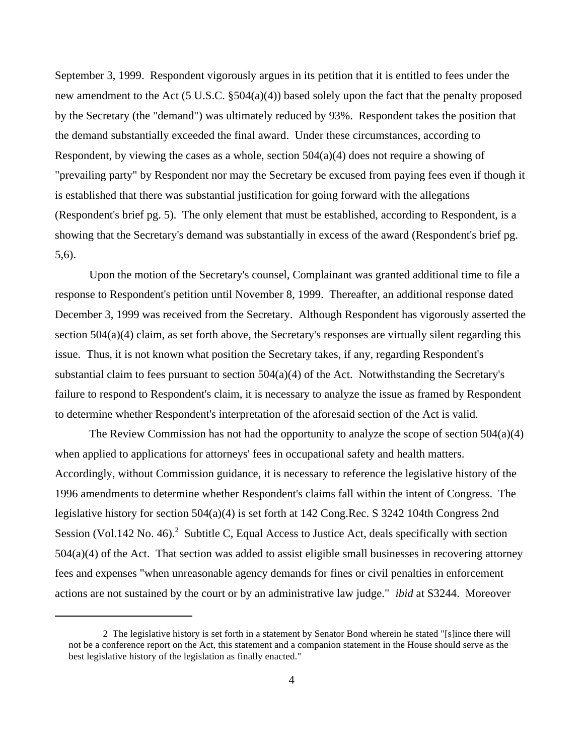September 3, 1999. Respondent vigorously argues in its petition that it is entitled to fees under the new amendment to the Act (5 U.S.C. §504(a)(4)) based solely upon the fact that the penalty proposed by the Secretary (the "demand") was ultimately reduced by 93%. Respondent takes the position that the demand substantially exceeded the final award. Under these circumstances, according to Respondent, by viewing the cases as a whole, section  $504(a)(4)$  does not require a showing of "prevailing party" by Respondent nor may the Secretary be excused from paying fees even if though it is established that there was substantial justification for going forward with the allegations (Respondent's brief pg. 5). The only element that must be established, according to Respondent, is a showing that the Secretary's demand was substantially in excess of the award (Respondent's brief pg. 5,6).

Upon the motion of the Secretary's counsel, Complainant was granted additional time to file a response to Respondent's petition until November 8, 1999. Thereafter, an additional response dated December 3, 1999 was received from the Secretary. Although Respondent has vigorously asserted the section 504(a)(4) claim, as set forth above, the Secretary's responses are virtually silent regarding this issue. Thus, it is not known what position the Secretary takes, if any, regarding Respondent's substantial claim to fees pursuant to section  $504(a)(4)$  of the Act. Notwithstanding the Secretary's failure to respond to Respondent's claim, it is necessary to analyze the issue as framed by Respondent to determine whether Respondent's interpretation of the aforesaid section of the Act is valid.

The Review Commission has not had the opportunity to analyze the scope of section 504(a)(4) when applied to applications for attorneys' fees in occupational safety and health matters. Accordingly, without Commission guidance, it is necessary to reference the legislative history of the 1996 amendments to determine whether Respondent's claims fall within the intent of Congress. The legislative history for section 504(a)(4) is set forth at 142 Cong.Rec. S 3242 104th Congress 2nd Session (Vol.142 No. 46).<sup>2</sup> Subtitle C, Equal Access to Justice Act, deals specifically with section 504(a)(4) of the Act. That section was added to assist eligible small businesses in recovering attorney fees and expenses "when unreasonable agency demands for fines or civil penalties in enforcement actions are not sustained by the court or by an administrative law judge." *ibid* at S3244. Moreover

<sup>2</sup> The legislative history is set forth in a statement by Senator Bond wherein he stated "[s]ince there will not be a conference report on the Act, this statement and a companion statement in the House should serve as the best legislative history of the legislation as finally enacted."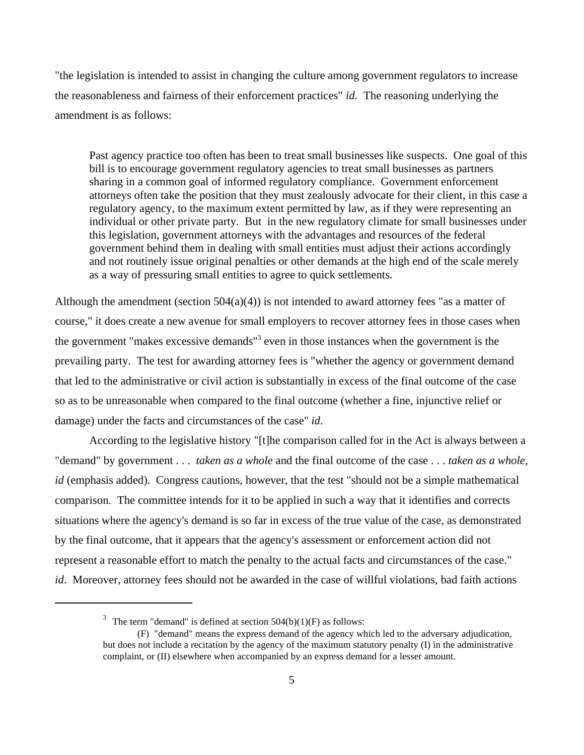"the legislation is intended to assist in changing the culture among government regulators to increase the reasonableness and fairness of their enforcement practices" *id.* The reasoning underlying the amendment is as follows:

Past agency practice too often has been to treat small businesses like suspects. One goal of this bill is to encourage government regulatory agencies to treat small businesses as partners sharing in a common goal of informed regulatory compliance. Government enforcement attorneys often take the position that they must zealously advocate for their client, in this case a regulatory agency, to the maximum extent permitted by law, as if they were representing an individual or other private party. But in the new regulatory climate for small businesses under this legislation, government attorneys with the advantages and resources of the federal government behind them in dealing with small entities must adjust their actions accordingly and not routinely issue original penalties or other demands at the high end of the scale merely as a way of pressuring small entities to agree to quick settlements.

Although the amendment (section  $504(a)(4)$ ) is not intended to award attorney fees "as a matter of course," it does create a new avenue for small employers to recover attorney fees in those cases when the government "makes excessive demands"<sup>3</sup> even in those instances when the government is the prevailing party. The test for awarding attorney fees is "whether the agency or government demand that led to the administrative or civil action is substantially in excess of the final outcome of the case so as to be unreasonable when compared to the final outcome (whether a fine, injunctive relief or damage) under the facts and circumstances of the case" *id*.

According to the legislative history "[t]he comparison called for in the Act is always between a "demand" by government . . . *taken as a whole* and the final outcome of the case . . . *taken as a whole, id* (emphasis added). Congress cautions, however, that the test "should not be a simple mathematical comparison. The committee intends for it to be applied in such a way that it identifies and corrects situations where the agency's demand is so far in excess of the true value of the case, as demonstrated by the final outcome, that it appears that the agency's assessment or enforcement action did not represent a reasonable effort to match the penalty to the actual facts and circumstances of the case." *id*. Moreover, attorney fees should not be awarded in the case of willful violations, bad faith actions

<sup>&</sup>lt;sup>3</sup> The term "demand" is defined at section  $504(b)(1)(F)$  as follows:

<sup>(</sup>F) "demand" means the express demand of the agency which led to the adversary adjudication, but does not include a recitation by the agency of the maximum statutory penalty (I) in the administrative complaint, or (II) elsewhere when accompanied by an express demand for a lesser amount.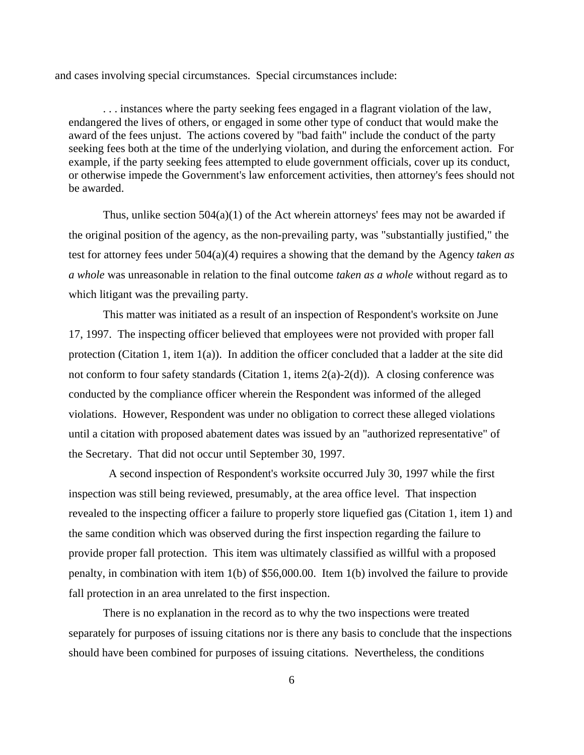and cases involving special circumstances. Special circumstances include:

. . . instances where the party seeking fees engaged in a flagrant violation of the law, endangered the lives of others, or engaged in some other type of conduct that would make the award of the fees unjust. The actions covered by "bad faith" include the conduct of the party seeking fees both at the time of the underlying violation, and during the enforcement action. For example, if the party seeking fees attempted to elude government officials, cover up its conduct, or otherwise impede the Government's law enforcement activities, then attorney's fees should not be awarded.

Thus, unlike section  $504(a)(1)$  of the Act wherein attorneys' fees may not be awarded if the original position of the agency, as the non-prevailing party, was "substantially justified," the test for attorney fees under 504(a)(4) requires a showing that the demand by the Agency *taken as a whole* was unreasonable in relation to the final outcome *taken as a whole* without regard as to which litigant was the prevailing party.

This matter was initiated as a result of an inspection of Respondent's worksite on June 17, 1997. The inspecting officer believed that employees were not provided with proper fall protection (Citation 1, item 1(a)). In addition the officer concluded that a ladder at the site did not conform to four safety standards (Citation 1, items  $2(a)-2(d)$ ). A closing conference was conducted by the compliance officer wherein the Respondent was informed of the alleged violations. However, Respondent was under no obligation to correct these alleged violations until a citation with proposed abatement dates was issued by an "authorized representative" of the Secretary. That did not occur until September 30, 1997.

 A second inspection of Respondent's worksite occurred July 30, 1997 while the first inspection was still being reviewed, presumably, at the area office level. That inspection revealed to the inspecting officer a failure to properly store liquefied gas (Citation 1, item 1) and the same condition which was observed during the first inspection regarding the failure to provide proper fall protection. This item was ultimately classified as willful with a proposed penalty, in combination with item 1(b) of \$56,000.00. Item 1(b) involved the failure to provide fall protection in an area unrelated to the first inspection.

There is no explanation in the record as to why the two inspections were treated separately for purposes of issuing citations nor is there any basis to conclude that the inspections should have been combined for purposes of issuing citations. Nevertheless, the conditions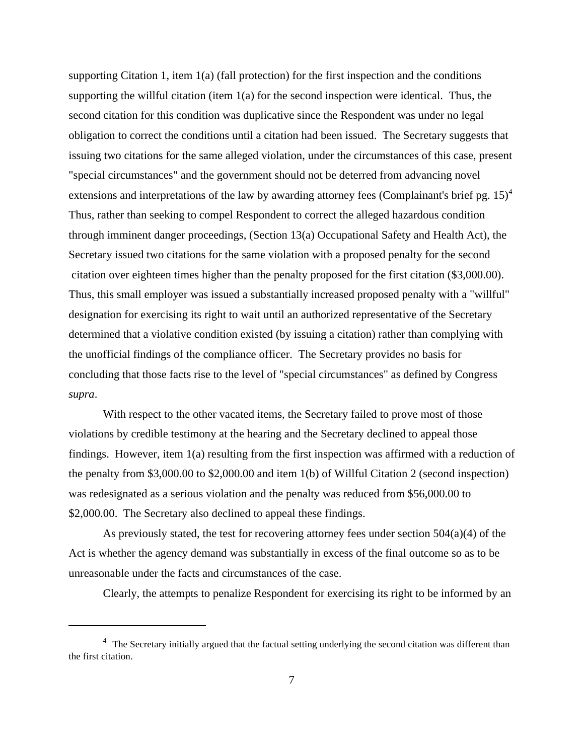supporting Citation 1, item  $1(a)$  (fall protection) for the first inspection and the conditions supporting the willful citation (item  $1(a)$  for the second inspection were identical. Thus, the second citation for this condition was duplicative since the Respondent was under no legal obligation to correct the conditions until a citation had been issued. The Secretary suggests that issuing two citations for the same alleged violation, under the circumstances of this case, present "special circumstances" and the government should not be deterred from advancing novel extensions and interpretations of the law by awarding attorney fees (Complainant's brief pg. 15)<sup>4</sup> Thus, rather than seeking to compel Respondent to correct the alleged hazardous condition through imminent danger proceedings, (Section 13(a) Occupational Safety and Health Act), the Secretary issued two citations for the same violation with a proposed penalty for the second citation over eighteen times higher than the penalty proposed for the first citation (\$3,000.00). Thus, this small employer was issued a substantially increased proposed penalty with a "willful" designation for exercising its right to wait until an authorized representative of the Secretary determined that a violative condition existed (by issuing a citation) rather than complying with the unofficial findings of the compliance officer. The Secretary provides no basis for concluding that those facts rise to the level of "special circumstances" as defined by Congress *supra*.

With respect to the other vacated items, the Secretary failed to prove most of those violations by credible testimony at the hearing and the Secretary declined to appeal those findings. However, item 1(a) resulting from the first inspection was affirmed with a reduction of the penalty from \$3,000.00 to \$2,000.00 and item 1(b) of Willful Citation 2 (second inspection) was redesignated as a serious violation and the penalty was reduced from \$56,000.00 to \$2,000.00. The Secretary also declined to appeal these findings.

As previously stated, the test for recovering attorney fees under section  $504(a)(4)$  of the Act is whether the agency demand was substantially in excess of the final outcome so as to be unreasonable under the facts and circumstances of the case.

Clearly, the attempts to penalize Respondent for exercising its right to be informed by an

<sup>&</sup>lt;sup>4</sup> The Secretary initially argued that the factual setting underlying the second citation was different than the first citation.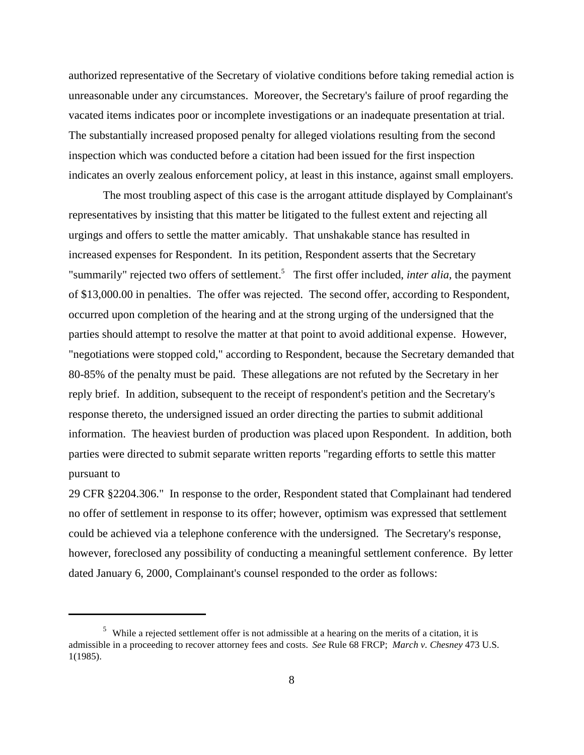authorized representative of the Secretary of violative conditions before taking remedial action is unreasonable under any circumstances. Moreover, the Secretary's failure of proof regarding the vacated items indicates poor or incomplete investigations or an inadequate presentation at trial. The substantially increased proposed penalty for alleged violations resulting from the second inspection which was conducted before a citation had been issued for the first inspection indicates an overly zealous enforcement policy, at least in this instance, against small employers.

The most troubling aspect of this case is the arrogant attitude displayed by Complainant's representatives by insisting that this matter be litigated to the fullest extent and rejecting all urgings and offers to settle the matter amicably. That unshakable stance has resulted in increased expenses for Respondent. In its petition, Respondent asserts that the Secretary "summarily" rejected two offers of settlement.<sup>5</sup> The first offer included, *inter alia*, the payment of \$13,000.00 in penalties. The offer was rejected. The second offer, according to Respondent, occurred upon completion of the hearing and at the strong urging of the undersigned that the parties should attempt to resolve the matter at that point to avoid additional expense. However, "negotiations were stopped cold," according to Respondent, because the Secretary demanded that 80-85% of the penalty must be paid. These allegations are not refuted by the Secretary in her reply brief. In addition, subsequent to the receipt of respondent's petition and the Secretary's response thereto, the undersigned issued an order directing the parties to submit additional information. The heaviest burden of production was placed upon Respondent. In addition, both parties were directed to submit separate written reports "regarding efforts to settle this matter pursuant to

29 CFR §2204.306." In response to the order, Respondent stated that Complainant had tendered no offer of settlement in response to its offer; however, optimism was expressed that settlement could be achieved via a telephone conference with the undersigned. The Secretary's response, however, foreclosed any possibility of conducting a meaningful settlement conference. By letter dated January 6, 2000, Complainant's counsel responded to the order as follows:

<sup>&</sup>lt;sup>5</sup> While a rejected settlement offer is not admissible at a hearing on the merits of a citation, it is admissible in a proceeding to recover attorney fees and costs. *See* Rule 68 FRCP; *March v. Chesney* 473 U.S. 1(1985).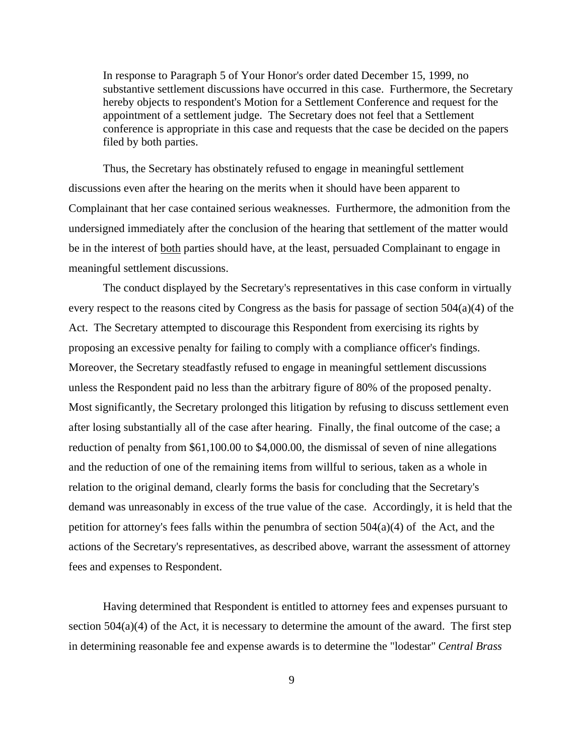In response to Paragraph 5 of Your Honor's order dated December 15, 1999, no substantive settlement discussions have occurred in this case. Furthermore, the Secretary hereby objects to respondent's Motion for a Settlement Conference and request for the appointment of a settlement judge. The Secretary does not feel that a Settlement conference is appropriate in this case and requests that the case be decided on the papers filed by both parties.

Thus, the Secretary has obstinately refused to engage in meaningful settlement discussions even after the hearing on the merits when it should have been apparent to Complainant that her case contained serious weaknesses. Furthermore, the admonition from the undersigned immediately after the conclusion of the hearing that settlement of the matter would be in the interest of both parties should have, at the least, persuaded Complainant to engage in meaningful settlement discussions.

The conduct displayed by the Secretary's representatives in this case conform in virtually every respect to the reasons cited by Congress as the basis for passage of section 504(a)(4) of the Act. The Secretary attempted to discourage this Respondent from exercising its rights by proposing an excessive penalty for failing to comply with a compliance officer's findings. Moreover, the Secretary steadfastly refused to engage in meaningful settlement discussions unless the Respondent paid no less than the arbitrary figure of 80% of the proposed penalty. Most significantly, the Secretary prolonged this litigation by refusing to discuss settlement even after losing substantially all of the case after hearing. Finally, the final outcome of the case; a reduction of penalty from \$61,100.00 to \$4,000.00, the dismissal of seven of nine allegations and the reduction of one of the remaining items from willful to serious, taken as a whole in relation to the original demand, clearly forms the basis for concluding that the Secretary's demand was unreasonably in excess of the true value of the case. Accordingly, it is held that the petition for attorney's fees falls within the penumbra of section  $504(a)(4)$  of the Act, and the actions of the Secretary's representatives, as described above, warrant the assessment of attorney fees and expenses to Respondent.

Having determined that Respondent is entitled to attorney fees and expenses pursuant to section  $504(a)(4)$  of the Act, it is necessary to determine the amount of the award. The first step in determining reasonable fee and expense awards is to determine the "lodestar" *Central Brass*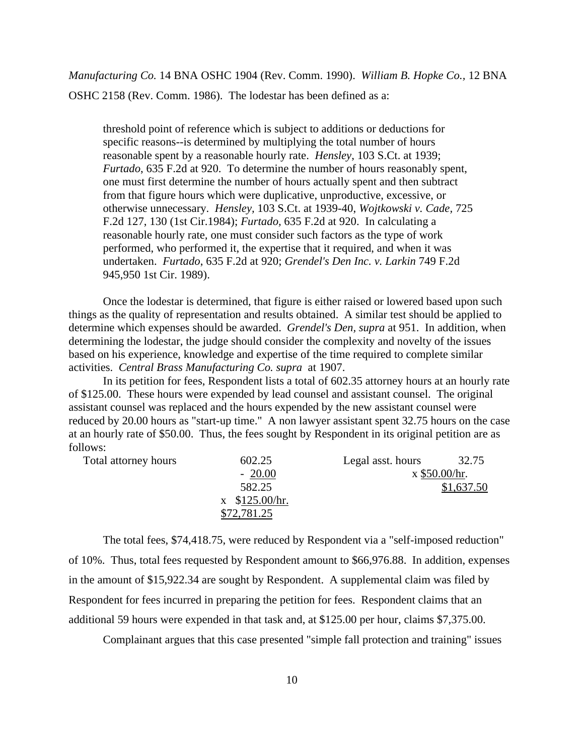*Manufacturing Co.* 14 BNA OSHC 1904 (Rev. Comm. 1990). *William B. Hopke Co.,* 12 BNA OSHC 2158 (Rev. Comm. 1986). The lodestar has been defined as a:

threshold point of reference which is subject to additions or deductions for specific reasons--is determined by multiplying the total number of hours reasonable spent by a reasonable hourly rate. *Hensley*, 103 S.Ct. at 1939; *Furtado*, 635 F.2d at 920. To determine the number of hours reasonably spent, one must first determine the number of hours actually spent and then subtract from that figure hours which were duplicative, unproductive, excessive, or otherwise unnecessary. *Hensley,* 103 S.Ct. at 1939-40, *Wojtkowski v. Cade,* 725 F.2d 127, 130 (1st Cir.1984); *Furtado,* 635 F.2d at 920. In calculating a reasonable hourly rate*,* one must consider such factors as the type of work performed, who performed it, the expertise that it required, and when it was undertaken. *Furtado*, 635 F.2d at 920; *Grendel's Den Inc. v. Larkin* 749 F.2d 945,950 1st Cir. 1989).

Once the lodestar is determined, that figure is either raised or lowered based upon such things as the quality of representation and results obtained. A similar test should be applied to determine which expenses should be awarded. *Grendel's Den, supra* at 951. In addition, when determining the lodestar, the judge should consider the complexity and novelty of the issues based on his experience, knowledge and expertise of the time required to complete similar activities. *Central Brass Manufacturing Co. supra* at 1907.

In its petition for fees, Respondent lists a total of 602.35 attorney hours at an hourly rate of \$125.00. These hours were expended by lead counsel and assistant counsel. The original assistant counsel was replaced and the hours expended by the new assistant counsel were reduced by 20.00 hours as "start-up time." A non lawyer assistant spent 32.75 hours on the case at an hourly rate of \$50.00. Thus, the fees sought by Respondent in its original petition are as follows:

| Total attorney hours | 602.25           | Legal asst. hours | 32.75           |
|----------------------|------------------|-------------------|-----------------|
|                      | $-20.00$         |                   | $x$ \$50.00/hr. |
|                      | 582.25           |                   | \$1,637.50      |
|                      | $x$ \$125.00/hr. |                   |                 |
|                      | \$72,781.25      |                   |                 |

The total fees, \$74,418.75, were reduced by Respondent via a "self-imposed reduction" of 10%. Thus, total fees requested by Respondent amount to \$66,976.88. In addition, expenses in the amount of \$15,922.34 are sought by Respondent. A supplemental claim was filed by Respondent for fees incurred in preparing the petition for fees. Respondent claims that an additional 59 hours were expended in that task and, at \$125.00 per hour, claims \$7,375.00.

Complainant argues that this case presented "simple fall protection and training" issues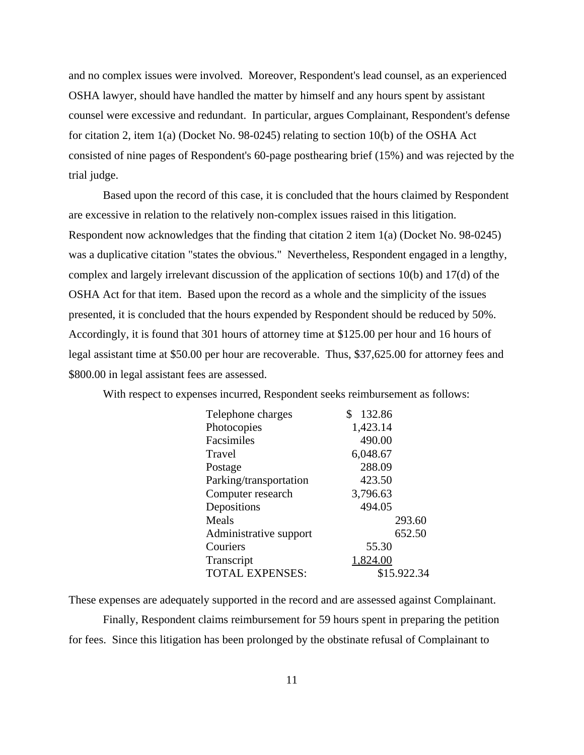and no complex issues were involved. Moreover, Respondent's lead counsel, as an experienced OSHA lawyer, should have handled the matter by himself and any hours spent by assistant counsel were excessive and redundant. In particular, argues Complainant, Respondent's defense for citation 2, item 1(a) (Docket No. 98-0245) relating to section 10(b) of the OSHA Act consisted of nine pages of Respondent's 60-page posthearing brief (15%) and was rejected by the trial judge.

Based upon the record of this case, it is concluded that the hours claimed by Respondent are excessive in relation to the relatively non-complex issues raised in this litigation. Respondent now acknowledges that the finding that citation 2 item 1(a) (Docket No. 98-0245) was a duplicative citation "states the obvious." Nevertheless, Respondent engaged in a lengthy, complex and largely irrelevant discussion of the application of sections 10(b) and 17(d) of the OSHA Act for that item. Based upon the record as a whole and the simplicity of the issues presented, it is concluded that the hours expended by Respondent should be reduced by 50%. Accordingly, it is found that 301 hours of attorney time at \$125.00 per hour and 16 hours of legal assistant time at \$50.00 per hour are recoverable. Thus, \$37,625.00 for attorney fees and \$800.00 in legal assistant fees are assessed.

With respect to expenses incurred, Respondent seeks reimbursement as follows:

| Telephone charges      | 132.86<br>S |
|------------------------|-------------|
| Photocopies            | 1,423.14    |
| Facsimiles             | 490.00      |
| Travel                 | 6,048.67    |
| Postage                | 288.09      |
| Parking/transportation | 423.50      |
| Computer research      | 3,796.63    |
| Depositions            | 494.05      |
| Meals                  | 293.60      |
| Administrative support | 652.50      |
| Couriers               | 55.30       |
| Transcript             | 1,824.00    |
| <b>TOTAL EXPENSES:</b> | \$15.922.34 |
|                        |             |

These expenses are adequately supported in the record and are assessed against Complainant. Finally, Respondent claims reimbursement for 59 hours spent in preparing the petition for fees. Since this litigation has been prolonged by the obstinate refusal of Complainant to